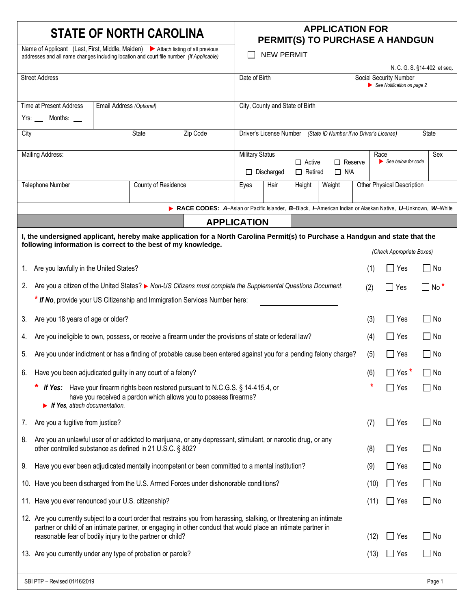## **STATE OF NORTH CAROLINA APPLICATION FOR**

Name of Applicant (Last, First, Middle, Maiden) > Attach listing of all previous

# **PERMIT(S) TO PURCHASE A HANDGUN**

NEW PERMIT

| addresses and all name changes including location and court file number (If Applicable)                                                                                                                                                                                                                                                    |                                                                                                                                                                                                |                          | <b>NEW PERMIT</b><br>N. C. G. S. §14-402 et seq.                                                                                               |                                                                                                           |                                                                                      |                                 |                            |            |                                                      |                            |                      |
|--------------------------------------------------------------------------------------------------------------------------------------------------------------------------------------------------------------------------------------------------------------------------------------------------------------------------------------------|------------------------------------------------------------------------------------------------------------------------------------------------------------------------------------------------|--------------------------|------------------------------------------------------------------------------------------------------------------------------------------------|-----------------------------------------------------------------------------------------------------------|--------------------------------------------------------------------------------------|---------------------------------|----------------------------|------------|------------------------------------------------------|----------------------------|----------------------|
| <b>Street Address</b>                                                                                                                                                                                                                                                                                                                      |                                                                                                                                                                                                |                          |                                                                                                                                                | Date of Birth                                                                                             |                                                                                      |                                 |                            |            | Social Security Number<br>See Notification on page 2 |                            |                      |
|                                                                                                                                                                                                                                                                                                                                            | Time at Present Address                                                                                                                                                                        | Email Address (Optional) |                                                                                                                                                |                                                                                                           |                                                                                      | City, County and State of Birth |                            |            |                                                      |                            |                      |
|                                                                                                                                                                                                                                                                                                                                            | Yrs: ____ Months:                                                                                                                                                                              |                          |                                                                                                                                                |                                                                                                           |                                                                                      |                                 |                            |            |                                                      |                            |                      |
| State<br>Zip Code<br>City                                                                                                                                                                                                                                                                                                                  |                                                                                                                                                                                                |                          |                                                                                                                                                | Driver's License Number<br>(State ID Number if no Driver's License)                                       |                                                                                      |                                 |                            |            |                                                      | State                      |                      |
|                                                                                                                                                                                                                                                                                                                                            | <b>Mailing Address:</b>                                                                                                                                                                        |                          |                                                                                                                                                |                                                                                                           | <b>Military Status</b>                                                               |                                 |                            |            |                                                      | Race<br>See below for code | Sex                  |
|                                                                                                                                                                                                                                                                                                                                            |                                                                                                                                                                                                |                          |                                                                                                                                                |                                                                                                           | $\Box$ Reserve<br>$\Box$ Active<br>$\Box$ Retired<br>$\Box$ N/A<br>$\Box$ Discharged |                                 |                            |            |                                                      |                            |                      |
|                                                                                                                                                                                                                                                                                                                                            | <b>Telephone Number</b>                                                                                                                                                                        |                          | County of Residence                                                                                                                            |                                                                                                           | Hair<br>Weight<br>Eyes<br>Height                                                     |                                 | Other Physical Description |            |                                                      |                            |                      |
|                                                                                                                                                                                                                                                                                                                                            |                                                                                                                                                                                                |                          |                                                                                                                                                | RACE CODES: A-Asian or Pacific Islander, B-Black, I-American Indian or Alaskan Native, U-Unknown, W-White |                                                                                      |                                 |                            |            |                                                      |                            |                      |
|                                                                                                                                                                                                                                                                                                                                            |                                                                                                                                                                                                |                          |                                                                                                                                                | <b>APPLICATION</b>                                                                                        |                                                                                      |                                 |                            |            |                                                      |                            |                      |
|                                                                                                                                                                                                                                                                                                                                            | I, the undersigned applicant, hereby make application for a North Carolina Permit(s) to Purchase a Handgun and state that the<br>following information is correct to the best of my knowledge. |                          |                                                                                                                                                |                                                                                                           |                                                                                      |                                 |                            |            |                                                      |                            |                      |
|                                                                                                                                                                                                                                                                                                                                            |                                                                                                                                                                                                |                          |                                                                                                                                                |                                                                                                           |                                                                                      |                                 |                            |            |                                                      | (Check Appropriate Boxes)  |                      |
| 1.                                                                                                                                                                                                                                                                                                                                         | Are you lawfully in the United States?                                                                                                                                                         |                          |                                                                                                                                                |                                                                                                           |                                                                                      |                                 |                            |            | (1)                                                  | Yes<br>$\blacksquare$      | No                   |
| 2.                                                                                                                                                                                                                                                                                                                                         | Are you a citizen of the United States? ► Non-US Citizens must complete the Supplemental Questions Document.                                                                                   |                          |                                                                                                                                                |                                                                                                           |                                                                                      |                                 |                            |            | (2)                                                  | $\Box$ Yes                 | $\square$ No $*$     |
|                                                                                                                                                                                                                                                                                                                                            | * If No, provide your US Citizenship and Immigration Services Number here:                                                                                                                     |                          |                                                                                                                                                |                                                                                                           |                                                                                      |                                 |                            |            |                                                      |                            |                      |
| 3.                                                                                                                                                                                                                                                                                                                                         | Are you 18 years of age or older?                                                                                                                                                              |                          |                                                                                                                                                |                                                                                                           |                                                                                      | (3)                             | $\Box$ Yes                 | $\Box$ No  |                                                      |                            |                      |
| 4.                                                                                                                                                                                                                                                                                                                                         | Are you ineligible to own, possess, or receive a firearm under the provisions of state or federal law?                                                                                         |                          |                                                                                                                                                |                                                                                                           |                                                                                      |                                 |                            | (4)        | $\Box$ Yes                                           | $\Box$ No                  |                      |
| 5.                                                                                                                                                                                                                                                                                                                                         | Are you under indictment or has a finding of probable cause been entered against you for a pending felony charge?                                                                              |                          |                                                                                                                                                |                                                                                                           |                                                                                      |                                 | (5)                        | $\Box$ Yes | $\Box$ No                                            |                            |                      |
| 6.                                                                                                                                                                                                                                                                                                                                         | Have you been adjudicated guilty in any court of a felony?                                                                                                                                     |                          |                                                                                                                                                |                                                                                                           |                                                                                      |                                 |                            | (6)        | $\Box$ Yes $^{\star}$                                | $\Box$ No                  |                      |
|                                                                                                                                                                                                                                                                                                                                            | If Yes:<br>$\blacktriangleright$ If Yes, attach documentation.                                                                                                                                 |                          | Have your firearm rights been restored pursuant to N.C.G.S. § 14-415.4, or<br>have you received a pardon which allows you to possess firearms? |                                                                                                           |                                                                                      |                                 |                            |            |                                                      | Yes<br>$\blacksquare$      | No<br>$\blacksquare$ |
| $\mathcal{L}$ .                                                                                                                                                                                                                                                                                                                            | Are you a fugitive from justice?                                                                                                                                                               |                          |                                                                                                                                                |                                                                                                           |                                                                                      |                                 |                            | (7)        | $\Box$ Yes                                           | No                         |                      |
| 8.                                                                                                                                                                                                                                                                                                                                         | Are you an unlawful user of or addicted to marijuana, or any depressant, stimulant, or narcotic drug, or any<br>other controlled substance as defined in 21 U.S.C. § 802?                      |                          |                                                                                                                                                |                                                                                                           |                                                                                      | (8)                             | $\Box$ Yes                 | $\Box$ No  |                                                      |                            |                      |
| 9.                                                                                                                                                                                                                                                                                                                                         | Have you ever been adjudicated mentally incompetent or been committed to a mental institution?                                                                                                 |                          |                                                                                                                                                |                                                                                                           |                                                                                      |                                 |                            |            | (9)                                                  | $\Box$ Yes                 | $\Box$ No            |
|                                                                                                                                                                                                                                                                                                                                            | 10. Have you been discharged from the U.S. Armed Forces under dishonorable conditions?                                                                                                         |                          |                                                                                                                                                |                                                                                                           |                                                                                      |                                 |                            |            | (10)                                                 | $\Box$ Yes                 | $\Box$ No            |
| 11. Have you ever renounced your U.S. citizenship?                                                                                                                                                                                                                                                                                         |                                                                                                                                                                                                |                          |                                                                                                                                                |                                                                                                           |                                                                                      |                                 |                            | (11)       | $\Box$ Yes                                           | $\square$ No               |                      |
| 12. Are you currently subject to a court order that restrains you from harassing, stalking, or threatening an intimate<br>partner or child of an intimate partner, or engaging in other conduct that would place an intimate partner in<br>reasonable fear of bodily injury to the partner or child?<br>$\square$ No<br>(12)<br>$\Box$ Yes |                                                                                                                                                                                                |                          |                                                                                                                                                |                                                                                                           |                                                                                      |                                 |                            |            |                                                      |                            |                      |
| 13. Are you currently under any type of probation or parole?<br>(13)                                                                                                                                                                                                                                                                       |                                                                                                                                                                                                |                          |                                                                                                                                                |                                                                                                           |                                                                                      | $\Box$ Yes                      | $\Box$ No                  |            |                                                      |                            |                      |
|                                                                                                                                                                                                                                                                                                                                            |                                                                                                                                                                                                |                          |                                                                                                                                                |                                                                                                           |                                                                                      |                                 |                            |            |                                                      |                            |                      |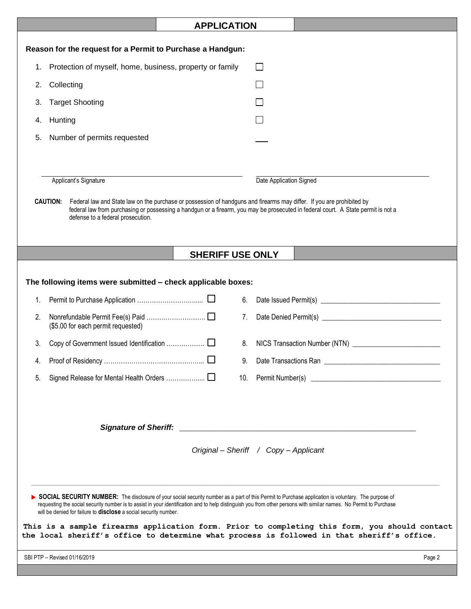|                                                                  | <b>APPLICATION</b> |                                                                                                                                                                                                                                                                                                                                                                                                                            |        |  |  |
|------------------------------------------------------------------|--------------------|----------------------------------------------------------------------------------------------------------------------------------------------------------------------------------------------------------------------------------------------------------------------------------------------------------------------------------------------------------------------------------------------------------------------------|--------|--|--|
| Reason for the request for a Permit to Purchase a Handgun:       |                    |                                                                                                                                                                                                                                                                                                                                                                                                                            |        |  |  |
| Protection of myself, home, business, property or family<br>1.   |                    | $\mathsf{L}$                                                                                                                                                                                                                                                                                                                                                                                                               |        |  |  |
| Collecting<br>2.                                                 |                    |                                                                                                                                                                                                                                                                                                                                                                                                                            |        |  |  |
| <b>Target Shooting</b><br>3.                                     |                    |                                                                                                                                                                                                                                                                                                                                                                                                                            |        |  |  |
| Hunting<br>4.                                                    |                    |                                                                                                                                                                                                                                                                                                                                                                                                                            |        |  |  |
| Number of permits requested<br>5.                                |                    |                                                                                                                                                                                                                                                                                                                                                                                                                            |        |  |  |
|                                                                  |                    |                                                                                                                                                                                                                                                                                                                                                                                                                            |        |  |  |
|                                                                  |                    |                                                                                                                                                                                                                                                                                                                                                                                                                            |        |  |  |
| Applicant's Signature                                            |                    | Date Application Signed                                                                                                                                                                                                                                                                                                                                                                                                    |        |  |  |
| <b>CAUTION:</b><br>defense to a federal prosecution.             |                    | Federal law and State law on the purchase or possession of handguns and firearms may differ. If you are prohibited by<br>federal law from purchasing or possessing a handgun or a firearm, you may be prosecuted in federal court. A State permit is not a                                                                                                                                                                 |        |  |  |
|                                                                  |                    | <b>SHERIFF USE ONLY</b>                                                                                                                                                                                                                                                                                                                                                                                                    |        |  |  |
|                                                                  |                    |                                                                                                                                                                                                                                                                                                                                                                                                                            |        |  |  |
| The following items were submitted - check applicable boxes:     |                    |                                                                                                                                                                                                                                                                                                                                                                                                                            |        |  |  |
| 1.                                                               |                    | 6.                                                                                                                                                                                                                                                                                                                                                                                                                         |        |  |  |
| 2.<br>(\$5.00 for each permit requested)                         |                    | 7.                                                                                                                                                                                                                                                                                                                                                                                                                         |        |  |  |
| 3.                                                               |                    |                                                                                                                                                                                                                                                                                                                                                                                                                            |        |  |  |
|                                                                  |                    |                                                                                                                                                                                                                                                                                                                                                                                                                            |        |  |  |
| 5.                                                               |                    |                                                                                                                                                                                                                                                                                                                                                                                                                            |        |  |  |
| Original - Sheriff / Copy - Applicant                            |                    |                                                                                                                                                                                                                                                                                                                                                                                                                            |        |  |  |
| will be denied for failure to disclose a social security number. |                    | SOCIAL SECURITY NUMBER: The disclosure of your social security number as a part of this Permit to Purchase application is voluntary. The purpose of<br>requesting the social security number is to assist in your identification and to help distinguish you from other persons with similar names. No Permit to Purchase<br>This is a sample firearms application form. Prior to completing this form, you should contact |        |  |  |
|                                                                  |                    | the local sheriff's office to determine what process is followed in that sheriff's office.                                                                                                                                                                                                                                                                                                                                 |        |  |  |
| SBI PTP - Revised 01/16/2019                                     |                    |                                                                                                                                                                                                                                                                                                                                                                                                                            | Page 2 |  |  |